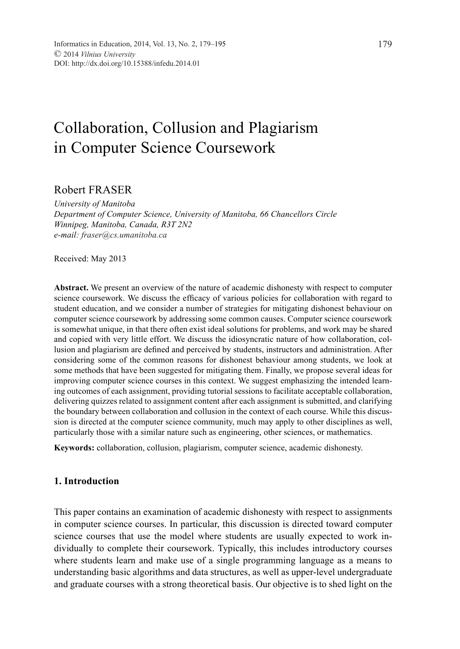# Collaboration, Collusion and Plagiarism in Computer Science Coursework

# Robert FRASER

*University of Manitoba Department of Computer Science, University of Manitoba, 66 Chancellors Circle Winnipeg, Manitoba, Canada, R3T 2N2 e-mail: fraser@cs.umanitoba.ca*

Received: May 2013

**Abstract.** We present an overview of the nature of academic dishonesty with respect to computer science coursework. We discuss the efficacy of various policies for collaboration with regard to student education, and we consider a number of strategies for mitigating dishonest behaviour on computer science coursework by addressing some common causes. Computer science coursework is somewhat unique, in that there often exist ideal solutions for problems, and work may be shared and copied with very little effort. We discuss the idiosyncratic nature of how collaboration, collusion and plagiarism are defined and perceived by students, instructors and administration. After considering some of the common reasons for dishonest behaviour among students, we look at some methods that have been suggested for mitigating them. Finally, we propose several ideas for improving computer science courses in this context. We suggest emphasizing the intended learning outcomes of each assignment, providing tutorial sessions to facilitate acceptable collaboration, delivering quizzes related to assignment content after each assignment is submitted, and clarifying the boundary between collaboration and collusion in the context of each course. While this discussion is directed at the computer science community, much may apply to other disciplines as well, particularly those with a similar nature such as engineering, other sciences, or mathematics.

**Keywords:** collaboration, collusion, plagiarism, computer science, academic dishonesty.

# **1. Introduction**

This paper contains an examination of academic dishonesty with respect to assignments in computer science courses. In particular, this discussion is directed toward computer science courses that use the model where students are usually expected to work individually to complete their coursework. Typically, this includes introductory courses where students learn and make use of a single programming language as a means to understanding basic algorithms and data structures, as well as upper-level undergraduate and graduate courses with a strong theoretical basis. Our objective is to shed light on the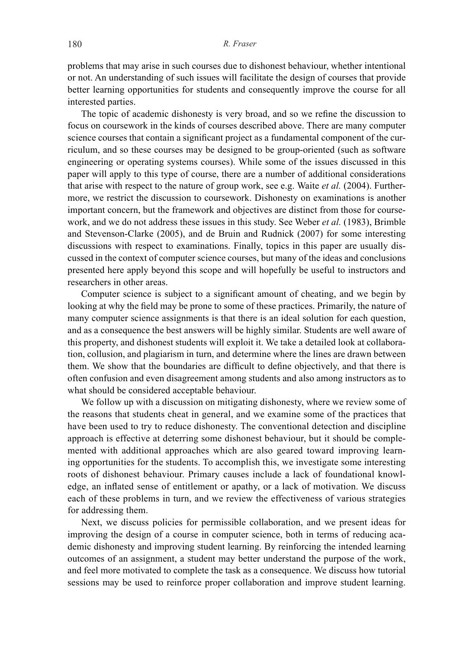problems that may arise in such courses due to dishonest behaviour, whether intentional or not. An understanding of such issues will facilitate the design of courses that provide better learning opportunities for students and consequently improve the course for all interested parties.

The topic of academic dishonesty is very broad, and so we refine the discussion to focus on coursework in the kinds of courses described above. There are many computer science courses that contain a significant project as a fundamental component of the curriculum, and so these courses may be designed to be group-oriented (such as software engineering or operating systems courses). While some of the issues discussed in this paper will apply to this type of course, there are a number of additional considerations that arise with respect to the nature of group work, see e.g. Waite *et al.* (2004). Furthermore, we restrict the discussion to coursework. Dishonesty on examinations is another important concern, but the framework and objectives are distinct from those for coursework, and we do not address these issues in this study. See Weber *et al.* (1983), Brimble and Stevenson-Clarke (2005), and de Bruin and Rudnick (2007) for some interesting discussions with respect to examinations. Finally, topics in this paper are usually discussed in the context of computer science courses, but many of the ideas and conclusions presented here apply beyond this scope and will hopefully be useful to instructors and researchers in other areas.

Computer science is subject to a significant amount of cheating, and we begin by looking at why the field may be prone to some of these practices. Primarily, the nature of many computer science assignments is that there is an ideal solution for each question, and as a consequence the best answers will be highly similar. Students are well aware of this property, and dishonest students will exploit it. We take a detailed look at collaboration, collusion, and plagiarism in turn, and determine where the lines are drawn between them. We show that the boundaries are difficult to define objectively, and that there is often confusion and even disagreement among students and also among instructors as to what should be considered acceptable behaviour.

We follow up with a discussion on mitigating dishonesty, where we review some of the reasons that students cheat in general, and we examine some of the practices that have been used to try to reduce dishonesty. The conventional detection and discipline approach is effective at deterring some dishonest behaviour, but it should be complemented with additional approaches which are also geared toward improving learning opportunities for the students. To accomplish this, we investigate some interesting roots of dishonest behaviour. Primary causes include a lack of foundational knowledge, an inflated sense of entitlement or apathy, or a lack of motivation. We discuss each of these problems in turn, and we review the effectiveness of various strategies for addressing them.

Next, we discuss policies for permissible collaboration, and we present ideas for improving the design of a course in computer science, both in terms of reducing academic dishonesty and improving student learning. By reinforcing the intended learning outcomes of an assignment, a student may better understand the purpose of the work, and feel more motivated to complete the task as a consequence. We discuss how tutorial sessions may be used to reinforce proper collaboration and improve student learning.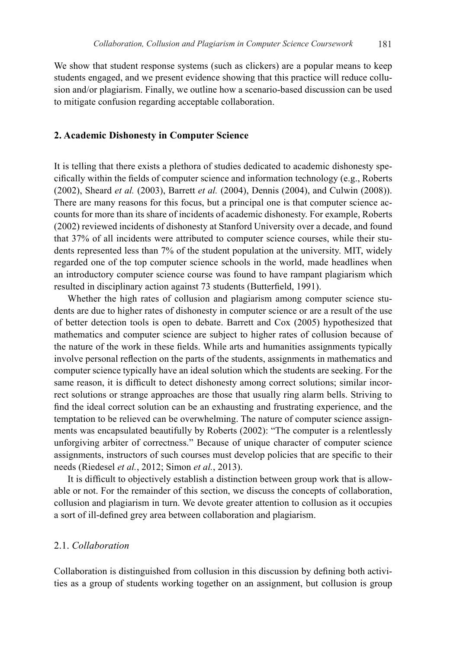We show that student response systems (such as clickers) are a popular means to keep students engaged, and we present evidence showing that this practice will reduce collusion and/or plagiarism. Finally, we outline how a scenario-based discussion can be used to mitigate confusion regarding acceptable collaboration.

#### **2. Academic Dishonesty in Computer Science**

It is telling that there exists a plethora of studies dedicated to academic dishonesty specifically within the fields of computer science and information technology (e.g., Roberts (2002), Sheard *et al.* (2003), Barrett *et al.* (2004), Dennis (2004), and Culwin (2008)). There are many reasons for this focus, but a principal one is that computer science accounts for more than its share of incidents of academic dishonesty. For example, Roberts (2002) reviewed incidents of dishonesty at Stanford University over a decade, and found that 37% of all incidents were attributed to computer science courses, while their students represented less than 7% of the student population at the university. MIT, widely regarded one of the top computer science schools in the world, made headlines when an introductory computer science course was found to have rampant plagiarism which resulted in disciplinary action against 73 students (Butterfield, 1991).

Whether the high rates of collusion and plagiarism among computer science students are due to higher rates of dishonesty in computer science or are a result of the use of better detection tools is open to debate. Barrett and Cox (2005) hypothesized that mathematics and computer science are subject to higher rates of collusion because of the nature of the work in these fields. While arts and humanities assignments typically involve personal reflection on the parts of the students, assignments in mathematics and computer science typically have an ideal solution which the students are seeking. For the same reason, it is difficult to detect dishonesty among correct solutions; similar incorrect solutions or strange approaches are those that usually ring alarm bells. Striving to find the ideal correct solution can be an exhausting and frustrating experience, and the temptation to be relieved can be overwhelming. The nature of computer science assignments was encapsulated beautifully by Roberts (2002): "The computer is a relentlessly unforgiving arbiter of correctness." Because of unique character of computer science assignments, instructors of such courses must develop policies that are specific to their needs (Riedesel *et al.*, 2012; Simon *et al.*, 2013).

It is difficult to objectively establish a distinction between group work that is allowable or not. For the remainder of this section, we discuss the concepts of collaboration, collusion and plagiarism in turn. We devote greater attention to collusion as it occupies a sort of ill-defined grey area between collaboration and plagiarism.

## 2.1. *Collaboration*

Collaboration is distinguished from collusion in this discussion by defining both activities as a group of students working together on an assignment, but collusion is group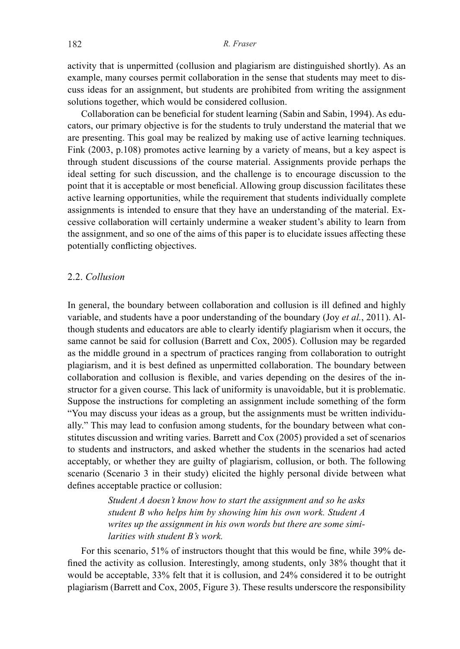activity that is unpermitted (collusion and plagiarism are distinguished shortly). As an example, many courses permit collaboration in the sense that students may meet to discuss ideas for an assignment, but students are prohibited from writing the assignment solutions together, which would be considered collusion.

Collaboration can be beneficial for student learning (Sabin and Sabin, 1994). As educators, our primary objective is for the students to truly understand the material that we are presenting. This goal may be realized by making use of active learning techniques. Fink (2003, p.108) promotes active learning by a variety of means, but a key aspect is through student discussions of the course material. Assignments provide perhaps the ideal setting for such discussion, and the challenge is to encourage discussion to the point that it is acceptable or most beneficial. Allowing group discussion facilitates these active learning opportunities, while the requirement that students individually complete assignments is intended to ensure that they have an understanding of the material. Excessive collaboration will certainly undermine a weaker student's ability to learn from the assignment, and so one of the aims of this paper is to elucidate issues affecting these potentially conflicting objectives.

#### 2.2. *Collusion*

In general, the boundary between collaboration and collusion is ill defined and highly variable, and students have a poor understanding of the boundary (Joy *et al.*, 2011). Although students and educators are able to clearly identify plagiarism when it occurs, the same cannot be said for collusion (Barrett and Cox, 2005). Collusion may be regarded as the middle ground in a spectrum of practices ranging from collaboration to outright plagiarism, and it is best defined as unpermitted collaboration. The boundary between collaboration and collusion is flexible, and varies depending on the desires of the instructor for a given course. This lack of uniformity is unavoidable, but it is problematic. Suppose the instructions for completing an assignment include something of the form "You may discuss your ideas as a group, but the assignments must be written individually." This may lead to confusion among students, for the boundary between what constitutes discussion and writing varies. Barrett and Cox (2005) provided a set of scenarios to students and instructors, and asked whether the students in the scenarios had acted acceptably, or whether they are guilty of plagiarism, collusion, or both. The following scenario (Scenario 3 in their study) elicited the highly personal divide between what defines acceptable practice or collusion:

> *Student A doesn't know how to start the assignment and so he asks student B who helps him by showing him his own work. Student A writes up the assignment in his own words but there are some similarities with student B's work.*

For this scenario, 51% of instructors thought that this would be fine, while 39% defined the activity as collusion. Interestingly, among students, only 38% thought that it would be acceptable, 33% felt that it is collusion, and 24% considered it to be outright plagiarism (Barrett and Cox, 2005, Figure 3). These results underscore the responsibility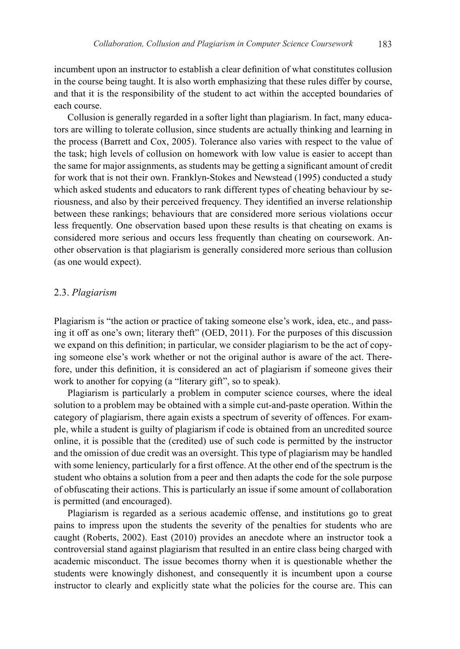incumbent upon an instructor to establish a clear definition of what constitutes collusion in the course being taught. It is also worth emphasizing that these rules differ by course, and that it is the responsibility of the student to act within the accepted boundaries of each course.

Collusion is generally regarded in a softer light than plagiarism. In fact, many educators are willing to tolerate collusion, since students are actually thinking and learning in the process (Barrett and Cox, 2005). Tolerance also varies with respect to the value of the task; high levels of collusion on homework with low value is easier to accept than the same for major assignments, as students may be getting a significant amount of credit for work that is not their own. Franklyn-Stokes and Newstead (1995) conducted a study which asked students and educators to rank different types of cheating behaviour by seriousness, and also by their perceived frequency. They identified an inverse relationship between these rankings; behaviours that are considered more serious violations occur less frequently. One observation based upon these results is that cheating on exams is considered more serious and occurs less frequently than cheating on coursework. Another observation is that plagiarism is generally considered more serious than collusion (as one would expect).

#### 2.3. *Plagiarism*

Plagiarism is "the action or practice of taking someone else's work, idea, etc., and passing it off as one's own; literary theft" (OED, 2011). For the purposes of this discussion we expand on this definition; in particular, we consider plagiarism to be the act of copying someone else's work whether or not the original author is aware of the act. Therefore, under this definition, it is considered an act of plagiarism if someone gives their work to another for copying (a "literary gift", so to speak).

Plagiarism is particularly a problem in computer science courses, where the ideal solution to a problem may be obtained with a simple cut-and-paste operation. Within the category of plagiarism, there again exists a spectrum of severity of offences. For example, while a student is guilty of plagiarism if code is obtained from an uncredited source online, it is possible that the (credited) use of such code is permitted by the instructor and the omission of due credit was an oversight. This type of plagiarism may be handled with some leniency, particularly for a first offence. At the other end of the spectrum is the student who obtains a solution from a peer and then adapts the code for the sole purpose of obfuscating their actions. This is particularly an issue if some amount of collaboration is permitted (and encouraged).

Plagiarism is regarded as a serious academic offense, and institutions go to great pains to impress upon the students the severity of the penalties for students who are caught (Roberts, 2002). East (2010) provides an anecdote where an instructor took a controversial stand against plagiarism that resulted in an entire class being charged with academic misconduct. The issue becomes thorny when it is questionable whether the students were knowingly dishonest, and consequently it is incumbent upon a course instructor to clearly and explicitly state what the policies for the course are. This can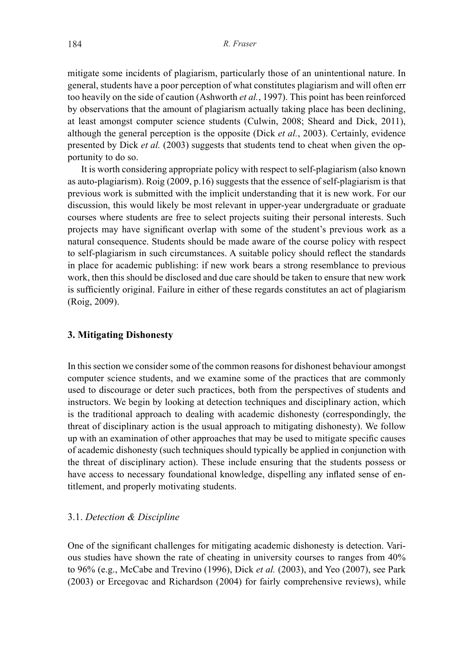mitigate some incidents of plagiarism, particularly those of an unintentional nature. In general, students have a poor perception of what constitutes plagiarism and will often err too heavily on the side of caution (Ashworth *et al.*, 1997). This point has been reinforced by observations that the amount of plagiarism actually taking place has been declining, at least amongst computer science students (Culwin, 2008; Sheard and Dick, 2011), although the general perception is the opposite (Dick *et al.*, 2003). Certainly, evidence presented by Dick *et al.* (2003) suggests that students tend to cheat when given the opportunity to do so.

It is worth considering appropriate policy with respect to self-plagiarism (also known as auto-plagiarism). Roig (2009, p.16) suggests that the essence of self-plagiarism is that previous work is submitted with the implicit understanding that it is new work. For our discussion, this would likely be most relevant in upper-year undergraduate or graduate courses where students are free to select projects suiting their personal interests. Such projects may have significant overlap with some of the student's previous work as a natural consequence. Students should be made aware of the course policy with respect to self-plagiarism in such circumstances. A suitable policy should reflect the standards in place for academic publishing: if new work bears a strong resemblance to previous work, then this should be disclosed and due care should be taken to ensure that new work is sufficiently original. Failure in either of these regards constitutes an act of plagiarism (Roig, 2009).

#### **3. Mitigating Dishonesty**

In this section we consider some of the common reasons for dishonest behaviour amongst computer science students, and we examine some of the practices that are commonly used to discourage or deter such practices, both from the perspectives of students and instructors. We begin by looking at detection techniques and disciplinary action, which is the traditional approach to dealing with academic dishonesty (correspondingly, the threat of disciplinary action is the usual approach to mitigating dishonesty). We follow up with an examination of other approaches that may be used to mitigate specific causes of academic dishonesty (such techniques should typically be applied in conjunction with the threat of disciplinary action). These include ensuring that the students possess or have access to necessary foundational knowledge, dispelling any inflated sense of entitlement, and properly motivating students.

## 3.1. *Detection & Discipline*

One of the significant challenges for mitigating academic dishonesty is detection. Various studies have shown the rate of cheating in university courses to ranges from 40% to 96% (e.g., McCabe and Trevino (1996), Dick *et al.* (2003), and Yeo (2007), see Park (2003) or Ercegovac and Richardson (2004) for fairly comprehensive reviews), while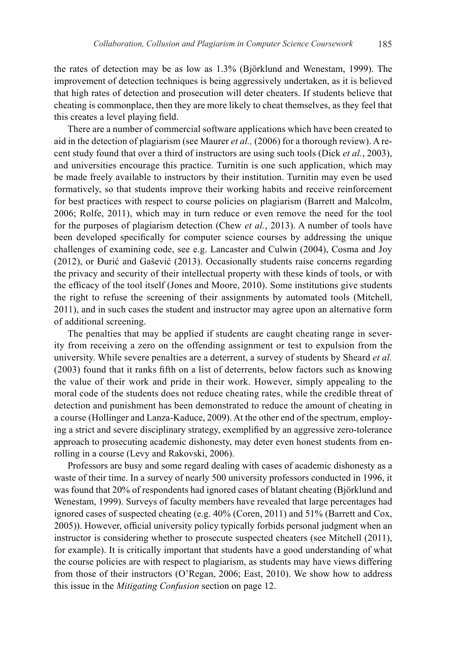the rates of detection may be as low as 1.3% (Björklund and Wenestam, 1999). The improvement of detection techniques is being aggressively undertaken, as it is believed that high rates of detection and prosecution will deter cheaters. If students believe that cheating is commonplace, then they are more likely to cheat themselves, as they feel that this creates a level playing field.

There are a number of commercial software applications which have been created to aid in the detection of plagiarism (see Maurer *et al.,* (2006) for a thorough review). A recent study found that over a third of instructors are using such tools (Dick *et al.*, 2003), and universities encourage this practice. Turnitin is one such application, which may be made freely available to instructors by their institution. Turnitin may even be used formatively, so that students improve their working habits and receive reinforcement for best practices with respect to course policies on plagiarism (Barrett and Malcolm, 2006; Rolfe, 2011), which may in turn reduce or even remove the need for the tool for the purposes of plagiarism detection (Chew *et al.*, 2013). A number of tools have been developed specifically for computer science courses by addressing the unique challenges of examining code, see e.g. Lancaster and Culwin (2004), Cosma and Joy (2012), or Ðurić and Gašević (2013). Occasionally students raise concerns regarding the privacy and security of their intellectual property with these kinds of tools, or with the efficacy of the tool itself (Jones and Moore, 2010). Some institutions give students the right to refuse the screening of their assignments by automated tools (Mitchell, 2011), and in such cases the student and instructor may agree upon an alternative form of additional screening.

The penalties that may be applied if students are caught cheating range in severity from receiving a zero on the offending assignment or test to expulsion from the university. While severe penalties are a deterrent, a survey of students by Sheard *et al.* (2003) found that it ranks fifth on a list of deterrents, below factors such as knowing the value of their work and pride in their work. However, simply appealing to the moral code of the students does not reduce cheating rates, while the credible threat of detection and punishment has been demonstrated to reduce the amount of cheating in a course (Hollinger and Lanza-Kaduce, 2009). At the other end of the spectrum, employing a strict and severe disciplinary strategy, exemplified by an aggressive zero-tolerance approach to prosecuting academic dishonesty, may deter even honest students from enrolling in a course (Levy and Rakovski, 2006).

Professors are busy and some regard dealing with cases of academic dishonesty as a waste of their time. In a survey of nearly 500 university professors conducted in 1996, it was found that 20% of respondents had ignored cases of blatant cheating (Björklund and Wenestam, 1999). Surveys of faculty members have revealed that large percentages had ignored cases of suspected cheating (e.g. 40% (Coren, 2011) and 51% (Barrett and Cox, 2005)). However, official university policy typically forbids personal judgment when an instructor is considering whether to prosecute suspected cheaters (see Mitchell (2011), for example). It is critically important that students have a good understanding of what the course policies are with respect to plagiarism, as students may have views differing from those of their instructors (O'Regan, 2006; East, 2010). We show how to address this issue in the *Mitigating Confusion* section on page 12.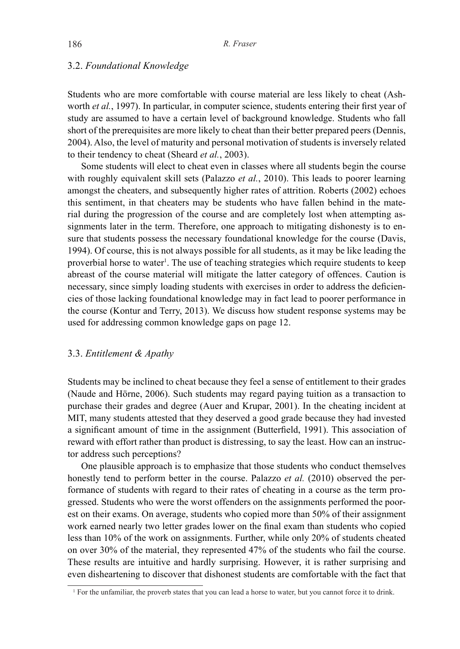#### 3.2. *Foundational Knowledge*

Students who are more comfortable with course material are less likely to cheat (Ashworth *et al.*, 1997). In particular, in computer science, students entering their first year of study are assumed to have a certain level of background knowledge. Students who fall short of the prerequisites are more likely to cheat than their better prepared peers (Dennis, 2004). Also, the level of maturity and personal motivation of students is inversely related to their tendency to cheat (Sheard *et al.*, 2003).

Some students will elect to cheat even in classes where all students begin the course with roughly equivalent skill sets (Palazzo *et al.*, 2010). This leads to poorer learning amongst the cheaters, and subsequently higher rates of attrition. Roberts (2002) echoes this sentiment, in that cheaters may be students who have fallen behind in the material during the progression of the course and are completely lost when attempting assignments later in the term. Therefore, one approach to mitigating dishonesty is to ensure that students possess the necessary foundational knowledge for the course (Davis, 1994). Of course, this is not always possible for all students, as it may be like leading the proverbial horse to water<sup>1</sup>. The use of teaching strategies which require students to keep abreast of the course material will mitigate the latter category of offences. Caution is necessary, since simply loading students with exercises in order to address the deficiencies of those lacking foundational knowledge may in fact lead to poorer performance in the course (Kontur and Terry, 2013). We discuss how student response systems may be used for addressing common knowledge gaps on page 12.

# 3.3. *Entitlement & Apathy*

Students may be inclined to cheat because they feel a sense of entitlement to their grades (Naude and Hörne, 2006). Such students may regard paying tuition as a transaction to purchase their grades and degree (Auer and Krupar, 2001). In the cheating incident at MIT, many students attested that they deserved a good grade because they had invested a significant amount of time in the assignment (Butterfield, 1991). This association of reward with effort rather than product is distressing, to say the least. How can an instructor address such perceptions?

One plausible approach is to emphasize that those students who conduct themselves honestly tend to perform better in the course. Palazzo *et al.* (2010) observed the performance of students with regard to their rates of cheating in a course as the term progressed. Students who were the worst offenders on the assignments performed the poorest on their exams. On average, students who copied more than 50% of their assignment work earned nearly two letter grades lower on the final exam than students who copied less than 10% of the work on assignments. Further, while only 20% of students cheated on over 30% of the material, they represented 47% of the students who fail the course. These results are intuitive and hardly surprising. However, it is rather surprising and even disheartening to discover that dishonest students are comfortable with the fact that

<sup>1</sup> For the unfamiliar, the proverb states that you can lead a horse to water, but you cannot force it to drink.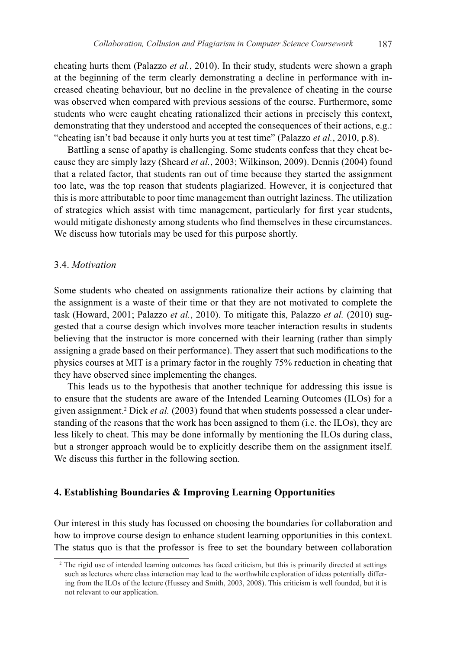cheating hurts them (Palazzo *et al.*, 2010). In their study, students were shown a graph at the beginning of the term clearly demonstrating a decline in performance with increased cheating behaviour, but no decline in the prevalence of cheating in the course was observed when compared with previous sessions of the course. Furthermore, some students who were caught cheating rationalized their actions in precisely this context, demonstrating that they understood and accepted the consequences of their actions, e.g.: "cheating isn't bad because it only hurts you at test time" (Palazzo *et al.*, 2010, p.8).

Battling a sense of apathy is challenging. Some students confess that they cheat because they are simply lazy (Sheard *et al.*, 2003; Wilkinson, 2009). Dennis (2004) found that a related factor, that students ran out of time because they started the assignment too late, was the top reason that students plagiarized. However, it is conjectured that this is more attributable to poor time management than outright laziness. The utilization of strategies which assist with time management, particularly for first year students, would mitigate dishonesty among students who find themselves in these circumstances. We discuss how tutorials may be used for this purpose shortly.

# 3.4. *Motivation*

Some students who cheated on assignments rationalize their actions by claiming that the assignment is a waste of their time or that they are not motivated to complete the task (Howard, 2001; Palazzo *et al.*, 2010). To mitigate this, Palazzo *et al.* (2010) suggested that a course design which involves more teacher interaction results in students believing that the instructor is more concerned with their learning (rather than simply assigning a grade based on their performance). They assert that such modifications to the physics courses at MIT is a primary factor in the roughly 75% reduction in cheating that they have observed since implementing the changes.

This leads us to the hypothesis that another technique for addressing this issue is to ensure that the students are aware of the Intended Learning Outcomes (ILOs) for a given assignment.<sup>2</sup> Dick *et al.* (2003) found that when students possessed a clear understanding of the reasons that the work has been assigned to them (i.e. the ILOs), they are less likely to cheat. This may be done informally by mentioning the ILOs during class, but a stronger approach would be to explicitly describe them on the assignment itself. We discuss this further in the following section.

#### **4. Establishing Boundaries & Improving Learning Opportunities**

Our interest in this study has focussed on choosing the boundaries for collaboration and how to improve course design to enhance student learning opportunities in this context. The status quo is that the professor is free to set the boundary between collaboration

<sup>&</sup>lt;sup>2</sup> The rigid use of intended learning outcomes has faced criticism, but this is primarily directed at settings such as lectures where class interaction may lead to the worthwhile exploration of ideas potentially differing from the ILOs of the lecture (Hussey and Smith, 2003, 2008). This criticism is well founded, but it is not relevant to our application.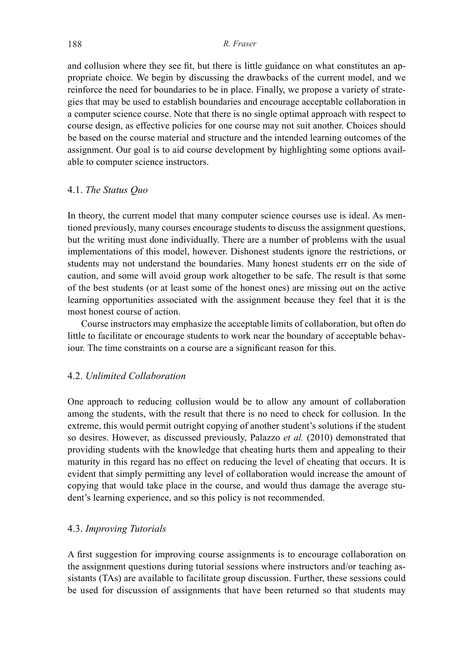and collusion where they see fit, but there is little guidance on what constitutes an appropriate choice. We begin by discussing the drawbacks of the current model, and we reinforce the need for boundaries to be in place. Finally, we propose a variety of strategies that may be used to establish boundaries and encourage acceptable collaboration in a computer science course. Note that there is no single optimal approach with respect to course design, as effective policies for one course may not suit another. Choices should be based on the course material and structure and the intended learning outcomes of the assignment. Our goal is to aid course development by highlighting some options available to computer science instructors.

## 4.1. *The Status Quo*

In theory, the current model that many computer science courses use is ideal. As mentioned previously, many courses encourage students to discuss the assignment questions, but the writing must done individually. There are a number of problems with the usual implementations of this model, however. Dishonest students ignore the restrictions, or students may not understand the boundaries. Many honest students err on the side of caution, and some will avoid group work altogether to be safe. The result is that some of the best students (or at least some of the honest ones) are missing out on the active learning opportunities associated with the assignment because they feel that it is the most honest course of action.

Course instructors may emphasize the acceptable limits of collaboration, but often do little to facilitate or encourage students to work near the boundary of acceptable behaviour. The time constraints on a course are a significant reason for this.

# 4.2. *Unlimited Collaboration*

One approach to reducing collusion would be to allow any amount of collaboration among the students, with the result that there is no need to check for collusion. In the extreme, this would permit outright copying of another student's solutions if the student so desires. However, as discussed previously, Palazzo *et al.* (2010) demonstrated that providing students with the knowledge that cheating hurts them and appealing to their maturity in this regard has no effect on reducing the level of cheating that occurs. It is evident that simply permitting any level of collaboration would increase the amount of copying that would take place in the course, and would thus damage the average student's learning experience, and so this policy is not recommended.

# 4.3. *Improving Tutorials*

A first suggestion for improving course assignments is to encourage collaboration on the assignment questions during tutorial sessions where instructors and/or teaching assistants (TAs) are available to facilitate group discussion. Further, these sessions could be used for discussion of assignments that have been returned so that students may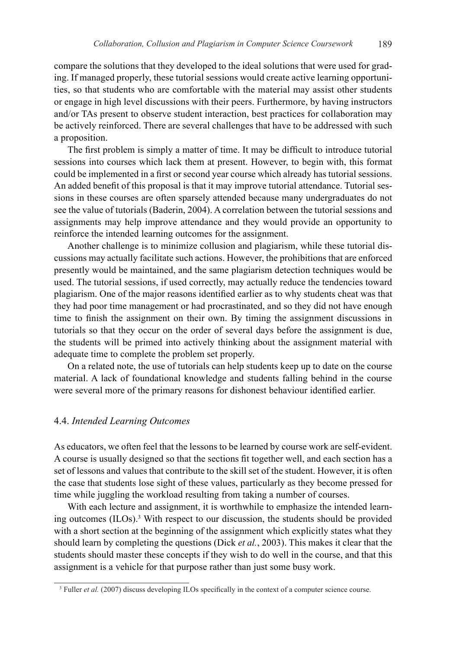compare the solutions that they developed to the ideal solutions that were used for grading. If managed properly, these tutorial sessions would create active learning opportunities, so that students who are comfortable with the material may assist other students or engage in high level discussions with their peers. Furthermore, by having instructors and/or TAs present to observe student interaction, best practices for collaboration may be actively reinforced. There are several challenges that have to be addressed with such a proposition.

The first problem is simply a matter of time. It may be difficult to introduce tutorial sessions into courses which lack them at present. However, to begin with, this format could be implemented in a first or second year course which already has tutorial sessions. An added benefit of this proposal is that it may improve tutorial attendance. Tutorial sessions in these courses are often sparsely attended because many undergraduates do not see the value of tutorials (Baderin, 2004). A correlation between the tutorial sessions and assignments may help improve attendance and they would provide an opportunity to reinforce the intended learning outcomes for the assignment.

Another challenge is to minimize collusion and plagiarism, while these tutorial discussions may actually facilitate such actions. However, the prohibitions that are enforced presently would be maintained, and the same plagiarism detection techniques would be used. The tutorial sessions, if used correctly, may actually reduce the tendencies toward plagiarism. One of the major reasons identified earlier as to why students cheat was that they had poor time management or had procrastinated, and so they did not have enough time to finish the assignment on their own. By timing the assignment discussions in tutorials so that they occur on the order of several days before the assignment is due, the students will be primed into actively thinking about the assignment material with adequate time to complete the problem set properly.

On a related note, the use of tutorials can help students keep up to date on the course material. A lack of foundational knowledge and students falling behind in the course were several more of the primary reasons for dishonest behaviour identified earlier.

#### 4.4. *Intended Learning Outcomes*

As educators, we often feel that the lessons to be learned by course work are self-evident. A course is usually designed so that the sections fit together well, and each section has a set of lessons and values that contribute to the skill set of the student. However, it is often the case that students lose sight of these values, particularly as they become pressed for time while juggling the workload resulting from taking a number of courses.

With each lecture and assignment, it is worthwhile to emphasize the intended learning outcomes (ILOs).3 With respect to our discussion, the students should be provided with a short section at the beginning of the assignment which explicitly states what they should learn by completing the questions (Dick *et al.*, 2003). This makes it clear that the students should master these concepts if they wish to do well in the course, and that this assignment is a vehicle for that purpose rather than just some busy work.

<sup>&</sup>lt;sup>3</sup> Fuller *et al.* (2007) discuss developing ILOs specifically in the context of a computer science course.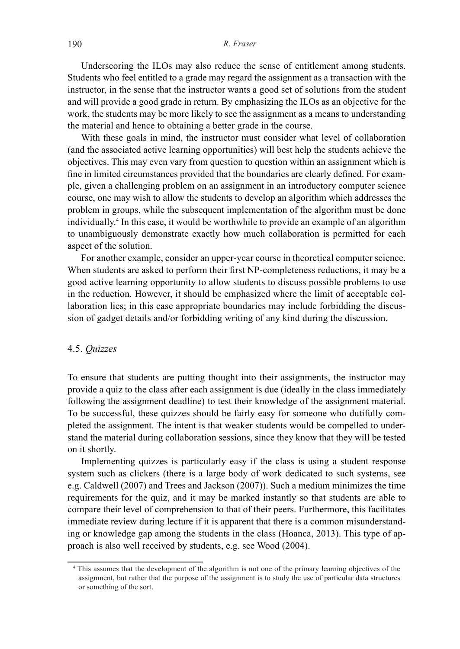Underscoring the ILOs may also reduce the sense of entitlement among students. Students who feel entitled to a grade may regard the assignment as a transaction with the instructor, in the sense that the instructor wants a good set of solutions from the student and will provide a good grade in return. By emphasizing the ILOs as an objective for the work, the students may be more likely to see the assignment as a means to understanding the material and hence to obtaining a better grade in the course.

With these goals in mind, the instructor must consider what level of collaboration (and the associated active learning opportunities) will best help the students achieve the objectives. This may even vary from question to question within an assignment which is fine in limited circumstances provided that the boundaries are clearly defined. For example, given a challenging problem on an assignment in an introductory computer science course, one may wish to allow the students to develop an algorithm which addresses the problem in groups, while the subsequent implementation of the algorithm must be done individually.4 In this case, it would be worthwhile to provide an example of an algorithm to unambiguously demonstrate exactly how much collaboration is permitted for each aspect of the solution.

For another example, consider an upper-year course in theoretical computer science. When students are asked to perform their first NP-completeness reductions, it may be a good active learning opportunity to allow students to discuss possible problems to use in the reduction. However, it should be emphasized where the limit of acceptable collaboration lies; in this case appropriate boundaries may include forbidding the discussion of gadget details and/or forbidding writing of any kind during the discussion.

# 4.5. *Quizzes*

To ensure that students are putting thought into their assignments, the instructor may provide a quiz to the class after each assignment is due (ideally in the class immediately following the assignment deadline) to test their knowledge of the assignment material. To be successful, these quizzes should be fairly easy for someone who dutifully completed the assignment. The intent is that weaker students would be compelled to understand the material during collaboration sessions, since they know that they will be tested on it shortly.

Implementing quizzes is particularly easy if the class is using a student response system such as clickers (there is a large body of work dedicated to such systems, see e.g. Caldwell (2007) and Trees and Jackson (2007)). Such a medium minimizes the time requirements for the quiz, and it may be marked instantly so that students are able to compare their level of comprehension to that of their peers. Furthermore, this facilitates immediate review during lecture if it is apparent that there is a common misunderstanding or knowledge gap among the students in the class (Hoanca, 2013). This type of approach is also well received by students, e.g. see Wood (2004).

<sup>4</sup> This assumes that the development of the algorithm is not one of the primary learning objectives of the assignment, but rather that the purpose of the assignment is to study the use of particular data structures or something of the sort.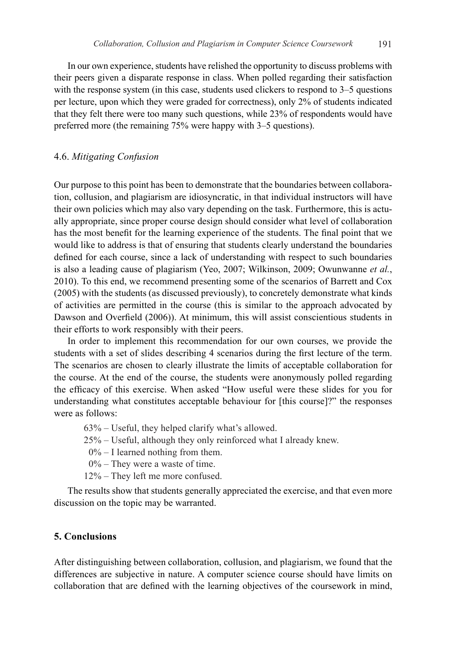In our own experience, students have relished the opportunity to discuss problems with their peers given a disparate response in class. When polled regarding their satisfaction with the response system (in this case, students used clickers to respond to  $3-5$  questions per lecture, upon which they were graded for correctness), only 2% of students indicated that they felt there were too many such questions, while 23% of respondents would have preferred more (the remaining 75% were happy with 3–5 questions).

## 4.6. *Mitigating Confusion*

Our purpose to this point has been to demonstrate that the boundaries between collaboration, collusion, and plagiarism are idiosyncratic, in that individual instructors will have their own policies which may also vary depending on the task. Furthermore, this is actually appropriate, since proper course design should consider what level of collaboration has the most benefit for the learning experience of the students. The final point that we would like to address is that of ensuring that students clearly understand the boundaries defined for each course, since a lack of understanding with respect to such boundaries is also a leading cause of plagiarism (Yeo, 2007; Wilkinson, 2009; Owunwanne *et al.*, 2010). To this end, we recommend presenting some of the scenarios of Barrett and Cox (2005) with the students (as discussed previously), to concretely demonstrate what kinds of activities are permitted in the course (this is similar to the approach advocated by Dawson and Overfield (2006)). At minimum, this will assist conscientious students in their efforts to work responsibly with their peers.

In order to implement this recommendation for our own courses, we provide the students with a set of slides describing 4 scenarios during the first lecture of the term. The scenarios are chosen to clearly illustrate the limits of acceptable collaboration for the course. At the end of the course, the students were anonymously polled regarding the efficacy of this exercise. When asked "How useful were these slides for you for understanding what constitutes acceptable behaviour for [this course]?" the responses were as follows:

63% – Useful, they helped clarify what's allowed.

- 25% Useful, although they only reinforced what I already knew.
- $0\%$  I learned nothing from them.
- 0% They were a waste of time.
- 12% They left me more confused.

The results show that students generally appreciated the exercise, and that even more discussion on the topic may be warranted.

# **5. Conclusions**

After distinguishing between collaboration, collusion, and plagiarism, we found that the differences are subjective in nature. A computer science course should have limits on collaboration that are defined with the learning objectives of the coursework in mind,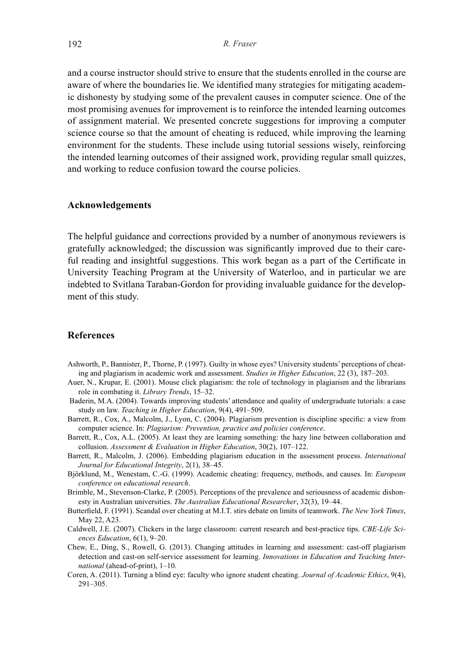and a course instructor should strive to ensure that the students enrolled in the course are aware of where the boundaries lie. We identified many strategies for mitigating academic dishonesty by studying some of the prevalent causes in computer science. One of the most promising avenues for improvement is to reinforce the intended learning outcomes of assignment material. We presented concrete suggestions for improving a computer science course so that the amount of cheating is reduced, while improving the learning environment for the students. These include using tutorial sessions wisely, reinforcing the intended learning outcomes of their assigned work, providing regular small quizzes, and working to reduce confusion toward the course policies.

#### **Acknowledgements**

The helpful guidance and corrections provided by a number of anonymous reviewers is gratefully acknowledged; the discussion was significantly improved due to their careful reading and insightful suggestions. This work began as a part of the Certificate in University Teaching Program at the University of Waterloo, and in particular we are indebted to Svitlana Taraban-Gordon for providing invaluable guidance for the development of this study.

#### **References**

- Ashworth, P., Bannister, P., Thorne, P. (1997). Guilty in whose eyes? University students' perceptions of cheating and plagiarism in academic work and assessment. *Studies in Higher Education*, 22 (3), 187–203.
- Auer, N., Krupar, E. (2001). Mouse click plagiarism: the role of technology in plagiarism and the librarians role in combating it. *Library Trends*, 15–32.
- Baderin, M.A. (2004). Towards improving students' attendance and quality of undergraduate tutorials: a case study on law. *Teaching in Higher Education*, 9(4), 491–509.
- Barrett, R., Cox, A., Malcolm, J., Lyon, C. (2004). Plagiarism prevention is discipline specific: a view from computer science. In: *Plagiarism: Prevention, practice and policies conference*.
- Barrett, R., Cox, A.L. (2005). At least they are learning something: the hazy line between collaboration and collusion. *Assessment & Evaluation in Higher Education*, 30(2), 107–122.
- Barrett, R., Malcolm, J. (2006). Embedding plagiarism education in the assessment process. *International Journal for Educational Integrity*, 2(1), 38–45.
- Björklund, M., Wenestam, C.-G. (1999). Academic cheating: frequency, methods, and causes. In: *European conference on educational research*.
- Brimble, M., Stevenson-Clarke, P. (2005). Perceptions of the prevalence and seriousness of academic dishonesty in Australian universities. *The Australian Educational Researcher*, 32(3), 19–44.
- Butterfield, F. (1991). Scandal over cheating at M.I.T. stirs debate on limits of teamwork. *The New York Times*, May 22, A23.
- Caldwell, J.E. (2007). Clickers in the large classroom: current research and best-practice tips. *CBE-Life Sciences Education*, 6(1), 9–20.
- Chew, E., Ding, S., Rowell, G. (2013). Changing attitudes in learning and assessment: cast-off plagiarism detection and cast-on self-service assessment for learning. *Innovations in Education and Teaching International* (ahead-of-print), 1–10.
- Coren, A. (2011). Turning a blind eye: faculty who ignore student cheating. *Journal of Academic Ethics*, 9(4), 291–305.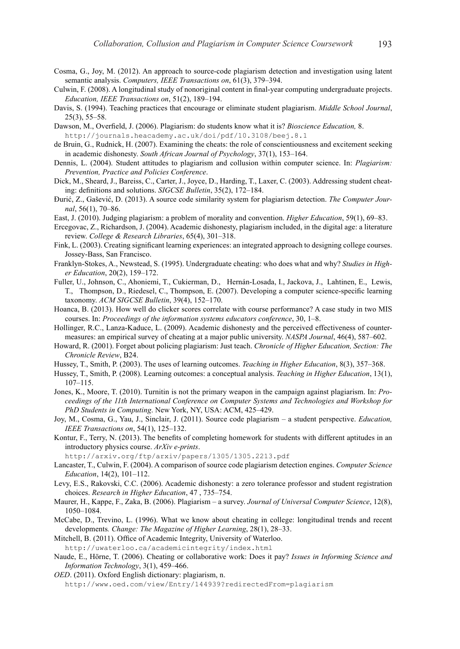- Cosma, G., Joy, M. (2012). An approach to source-code plagiarism detection and investigation using latent semantic analysis. *Computers, IEEE Transactions on*, 61(3), 379–394.
- Culwin, F. (2008). A longitudinal study of nonoriginal content in final-year computing undergraduate projects. *Education, IEEE Transactions on*, 51(2), 189–194.
- Davis, S. (1994). Teaching practices that encourage or eliminate student plagiarism. *Middle School Journal*, 25(3), 55–58.
- Dawson, M., Overfield, J. (2006). Plagiarism: do students know what it is? *Bioscience Education,* 8. http://journals.heacademy.ac.uk/doi/pdf/10.3108/beej.8.1
- de Bruin, G., Rudnick, H. (2007). Examining the cheats: the role of conscientiousness and excitement seeking in academic dishonesty. *South African Journal of Psychology*, 37(1), 153–164.
- Dennis, L. (2004). Student attitudes to plagiarism and collusion within computer science. In: *Plagiarism: Prevention, Practice and Policies Conference*.
- Dick, M., Sheard, J., Bareiss, C., Carter, J., Joyce, D., Harding, T., Laxer, C. (2003). Addressing student cheating: definitions and solutions. *SIGCSE Bulletin*, 35(2), 172–184.
- Ðurić, Z., Gašević, D. (2013). A source code similarity system for plagiarism detection. *The Computer Journal*, 56(1), 70–86.
- East, J. (2010). Judging plagiarism: a problem of morality and convention. *Higher Education*, 59(1), 69–83.
- Ercegovac, Z., Richardson, J. (2004). Academic dishonesty, plagiarism included, in the digital age: a literature review. *College & Research Libraries*, 65(4), 301–318.
- Fink, L. (2003). Creating significant learning experiences: an integrated approach to designing college courses. Jossey-Bass, San Francisco.
- Franklyn-Stokes, A., Newstead, S. (1995). Undergraduate cheating: who does what and why? *Studies in Higher Education*, 20(2), 159–172.
- Fuller, U., Johnson, C., Ahoniemi, T., Cukierman, D., Hernán-Losada, I., Jackova, J., Lahtinen, E., Lewis, T., Thompson, D., Riedesel, C., Thompson, E. (2007). Developing a computer science-specific learning taxonomy. *ACM SIGCSE Bulletin*, 39(4), 152–170.
- Hoanca, B. (2013). How well do clicker scores correlate with course performance? A case study in two MIS courses. In: *Proceedings of the information systems educators conference*, 30, 1–8.
- Hollinger, R.C., Lanza-Kaduce, L. (2009). Academic dishonesty and the perceived effectiveness of countermeasures: an empirical survey of cheating at a major public university. *NASPA Journal*, 46(4), 587–602.
- Howard, R. (2001). Forget about policing plagiarism: Just teach. *Chronicle of Higher Education, Section: The Chronicle Review*, B24.
- Hussey, T., Smith, P. (2003). The uses of learning outcomes. *Teaching in Higher Education*, 8(3), 357–368.
- Hussey, T., Smith, P. (2008). Learning outcomes: a conceptual analysis. *Teaching in Higher Education*, 13(1), 107–115.
- Jones, K., Moore, T. (2010). Turnitin is not the primary weapon in the campaign against plagiarism. In: *Proceedings of the 11th International Conference on Computer Systems and Technologies and Workshop for PhD Students in Computing*. New York, NY, USA: ACM, 425–429.
- Joy, M., Cosma, G., Yau, J., Sinclair, J. (2011). Source code plagiarism a student perspective. *Education, IEEE Transactions on*, 54(1), 125–132.
- Kontur, F., Terry, N. (2013). The benefits of completing homework for students with different aptitudes in an introductory physics course. *ArXiv e-prints*.

http://arxiv.org/ftp/arxiv/papers/1305/1305.2213.pdf

- Lancaster, T., Culwin, F. (2004). A comparison of source code plagiarism detection engines. *Computer Science Education*, 14(2), 101–112.
- Levy, E.S., Rakovski, C.C. (2006). Academic dishonesty: a zero tolerance professor and student registration choices. *Research in Higher Education*, 47 , 735–754.
- Maurer, H., Kappe, F., Zaka, B. (2006). Plagiarism a survey. *Journal of Universal Computer Science*, 12(8), 1050–1084.
- McCabe, D., Trevino, L. (1996). What we know about cheating in college: longitudinal trends and recent developments*. Change: The Magazine of Higher Learning*, 28(1), 28–33.
- Mitchell, B. (2011). Office of Academic Integrity, University of Waterloo.

http://uwaterloo.ca/academicintegrity/index.html

- Naude, E., Hörne, T. (2006). Cheating or collaborative work: Does it pay? *Issues in Informing Science and Information Technology*, 3(1), 459–466.
- *OED*. (2011). Oxford English dictionary: plagiarism, n. http://www.oed.com/view/Entry/144939?redirectedFrom=plagiarism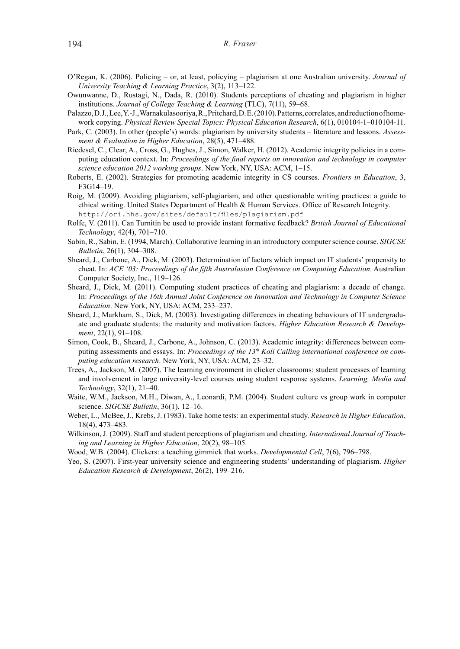- O'Regan, K. (2006). Policing or, at least, policying plagiarism at one Australian university. *Journal of University Teaching & Learning Practice*, 3(2), 113–122.
- Owunwanne, D., Rustagi, N., Dada, R. (2010). Students perceptions of cheating and plagiarism in higher institutions. *Journal of College Teaching & Learning* (TLC), 7(11), 59–68.
- Palazzo, D.J., Lee, Y.-J., Warnakulasooriya, R., Pritchard, D. E. (2010). Patterns, correlates, and reduction of homework copying. *Physical Review Special Topics: Physical Education Research*, 6(1), 010104-1–010104-11.
- Park, C. (2003). In other (people's) words: plagiarism by university students literature and lessons. *Assessment & Evaluation in Higher Education*, 28(5), 471–488.
- Riedesel, C., Clear, A., Cross, G., Hughes, J., Simon, Walker, H. (2012). Academic integrity policies in a computing education context. In: *Proceedings of the final reports on innovation and technology in computer science education 2012 working groups*. New York, NY, USA: ACM, 1–15.
- Roberts, E. (2002). Strategies for promoting academic integrity in CS courses. *Frontiers in Education*, 3, F3G14–19.
- Roig, M. (2009). Avoiding plagiarism, self-plagiarism, and other questionable writing practices: a guide to ethical writing. United States Department of Health & Human Services. Office of Research Integrity. http://ori.hhs.gov/sites/default/files/plagiarism.pdf
- Rolfe, V. (2011). Can Turnitin be used to provide instant formative feedback? *British Journal of Educational Technology*, 42(4), 701–710.
- Sabin, R., Sabin, E. (1994, March). Collaborative learning in an introductory computer science course. *SIGCSE Bulletin*, 26(1), 304–308.
- Sheard, J., Carbone, A., Dick, M. (2003). Determination of factors which impact on IT students' propensity to cheat. In: *ACE '03: Proceedings of the fifth Australasian Conference on Computing Education*. Australian Computer Society, Inc., 119–126.
- Sheard, J., Dick, M. (2011). Computing student practices of cheating and plagiarism: a decade of change. In: *Proceedings of the 16th Annual Joint Conference on Innovation and Technology in Computer Science Education*. New York, NY, USA: ACM, 233–237.
- Sheard, J., Markham, S., Dick, M. (2003). Investigating differences in cheating behaviours of IT undergraduate and graduate students: the maturity and motivation factors. *Higher Education Research & Development*, 22(1), 91–108.
- Simon, Cook, B., Sheard, J., Carbone, A., Johnson, C. (2013). Academic integrity: differences between computing assessments and essays. In: *Proceedings of the 13<sup>th</sup> Koli Calling international conference on computing education research*. New York, NY, USA: ACM, 23–32.
- Trees, A., Jackson, M. (2007). The learning environment in clicker classrooms: student processes of learning and involvement in large university-level courses using student response systems. *Learning, Media and Technology*, 32(1), 21–40.
- Waite, W.M., Jackson, M.H., Diwan, A., Leonardi, P.M. (2004). Student culture vs group work in computer science. *SIGCSE Bulletin*, 36(1), 12–16.
- Weber, L., McBee, J., Krebs, J. (1983). Take home tests: an experimental study. *Research in Higher Education*, 18(4), 473–483.
- Wilkinson, J. (2009). Staff and student perceptions of plagiarism and cheating. *International Journal of Teaching and Learning in Higher Education*, 20(2), 98–105.
- Wood, W.B. (2004). Clickers: a teaching gimmick that works. *Developmental Cell*, 7(6), 796–798.
- Yeo, S. (2007). First-year university science and engineering students' understanding of plagiarism. *Higher Education Research & Development*, 26(2), 199–216.